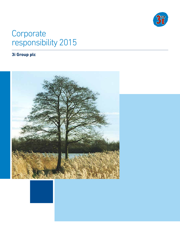

# **Corporate** responsibility 2015

# **3i Group plc**

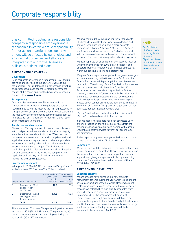3i is committed to acting as a responsible company, a responsible employer and a responsible investor. We take responsibility for our actions, carefully consider how others will be affected by our choices and ensure that our values and ethics are integrated into our formal business policies, practices and plans.

# A RESPONSIBLE COMPANY

# **Governance**

Good corporate governance is fundamental to 3i and its activities and is critical to the delivery of value to our stakeholders. For full details of our governance structure and processes, please see the Corporate governance section of this report and visit the Governance section of our website at www.3i.com.

#### **Transparency**

As a publicly-listed company, 3i operates within a framework of formal legal and regulatory disclosure requirements as well as meeting the high expectations for transparency of our shareholders, fund investors, staff and the media. We are committed to communicating both our financial and non-financial performance in a clear, open and comprehensive manner.

#### Anti-bribery and corruption

3i does not offer, pay or accept bribes and we only work with third parties whose standards of business integrity are substantively consistent with ours. We expect the businesses we invest in to operate in compliance with all applicable laws and regulations and, where appropriate, work towards meeting relevant international standards where these are more stringent. This includes, in particular, upholding high standards of business integrity, avoiding corruption in all its forms and complying with applicable anti-bribery, anti-fraud and anti-money laundering laws and regulations.

#### Environmental impact

In the year to 31 March 2015 our measured Scope 1 and 2 emissions were 411.8 tonnes CO<sub>2</sub>e. This comprised:

|       | Total                                                          |                                                              | 386.2                                                        |
|-------|----------------------------------------------------------------|--------------------------------------------------------------|--------------------------------------------------------------|
|       | Electricity, heat, and<br>cooling purchased<br>for our own use | 399.2                                                        | 358.2                                                        |
|       | Combustion of fuel<br>and operation of<br>our facilities       | 12.6                                                         | 28.0                                                         |
| Scope | Emissions source                                               | $CO2e$ emissions<br>(tonnes) for<br>year to<br>31 March 2015 | $CO2e$ emissions<br>(tonnes) for<br>year to<br>31 March 2014 |
|       |                                                                |                                                              |                                                              |

This equates to 1.52 tonnes CO2e per employee for the year to 31 March 2015 (2014: 1.39 tonnes CO<sub>2</sub>e per employee), based on an average number of employees during the year of 271 (2014: 277 employees).

We have restated the emissions figures for the year to 31 March 2014 to reflect improved data collection and analysis techniques which allows a more accurate comparison between 2014 and 2015. Our total Scope 1 and 2 emissions have increased by 6.6% due principally to better data coverage as well as an increase in overall emissions from electricity usage due to business growth.

We have reported on all of the emission sources required under the Companies Act 2006 (Strategic Report and Directors' Reports) Regulations 2013. These sources fall within our consolidated financial statements.

We quantify and report our organisational greenhouse gas emissions according to the Greenhouse Gas Protocol and Defra's Environmental Reporting Guidelines. Results are reported in tCO<sub>2</sub>e although Scope 2 emissions for overseas electricity have been calculated in tCO $_{\rm _2}$  as the UK Government's overseas electricity emissions factors currently account for CO<sub>2</sub> emissions only. Emissions for all of our sites have been included and we have chosen to exclude fugitive Scope 1 emissions from a cooling unit located at our London office as it is considered immaterial to our overall footprint. The greenhouse gas sources that constitute our operational boundary are:

- Scope 1: natural gas combustion within boilers; and - Scope 2: purchased electricity for own use.

In some cases, missing data has been estimated using either extrapolation of available data or data from the previous year as a proxy. We have worked with Carbon Credentials Energy Services to verify our greenhouse gas emissions.

3i also reports its greenhouse gas emissions and climate change data to the Carbon Disclosure Project.

#### **Community**

We focus our charitable activities on the disadvantaged, on young people and on education. Charities are supported on the basis of their effectiveness and impact and we also support staff giving and sponsorship through matching donations. Our charitable giving for the year to 31 March 2015 totalled £255,000.

# A RESPONSIBLE EMPLOYER

#### Graduate scheme

We are proud to have launched our new graduate recruitment scheme during the year which is designed to develop our next generation of world-class investment professionals and business leaders. Following a rigorous process, we selected five high-quality graduates from across Europe and a variety of disciplines to join us in September 2015. The programme will consist of comprehensive and high quality training followed by rotations through each of our Private Equity, Infrastructure and Debt Management businesses as well as our Strategy and Finance teams. The top performers will be fasttracked into the business in April 2018.



For full details of 3i's approach, including details of relevant 3i policies, please visit the CR section of our website at www.3i.com.